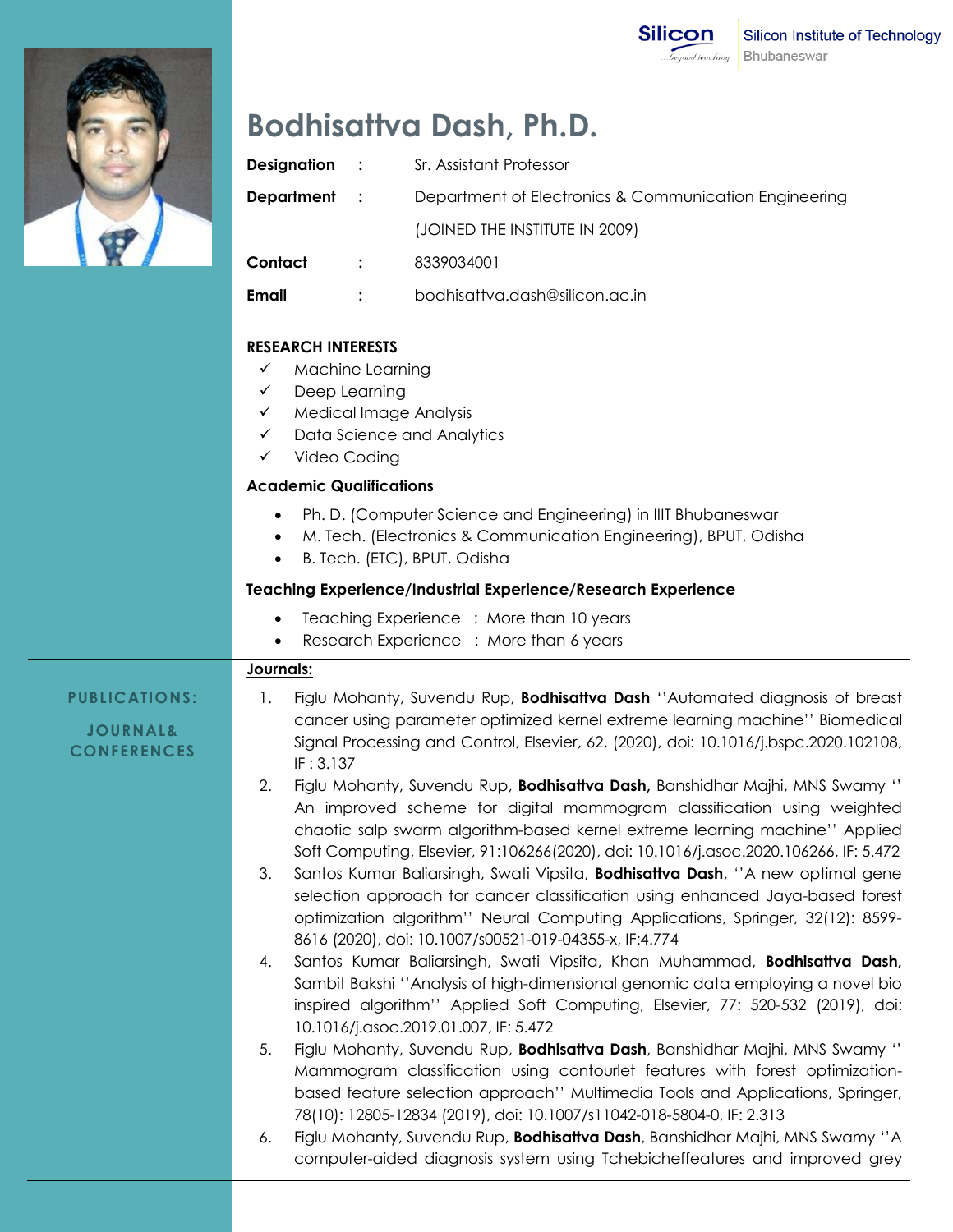

## **Bodhisattva Dash, Ph.D.**

|  | <u>DUUIIISUIIVU DUSII, FII.D.</u>                                                                                                                                                                                                                                                                                                                                                                                                                                                              |                      |                                                                                                                                                                                                                                                                                                                     |                                                                                                                                                                                                                                                             |                  |  |
|--|------------------------------------------------------------------------------------------------------------------------------------------------------------------------------------------------------------------------------------------------------------------------------------------------------------------------------------------------------------------------------------------------------------------------------------------------------------------------------------------------|----------------------|---------------------------------------------------------------------------------------------------------------------------------------------------------------------------------------------------------------------------------------------------------------------------------------------------------------------|-------------------------------------------------------------------------------------------------------------------------------------------------------------------------------------------------------------------------------------------------------------|------------------|--|
|  | <b>Designation</b>                                                                                                                                                                                                                                                                                                                                                                                                                                                                             | $\mathbf{r}$         | Sr. Assistant Professor                                                                                                                                                                                                                                                                                             |                                                                                                                                                                                                                                                             |                  |  |
|  | <b>Department</b>                                                                                                                                                                                                                                                                                                                                                                                                                                                                              | $\ddot{\phantom{1}}$ | Department of Electronics & Communication Engineering                                                                                                                                                                                                                                                               |                                                                                                                                                                                                                                                             |                  |  |
|  |                                                                                                                                                                                                                                                                                                                                                                                                                                                                                                |                      | (JOINED THE INSTITUTE IN 2009)                                                                                                                                                                                                                                                                                      |                                                                                                                                                                                                                                                             |                  |  |
|  | Contact                                                                                                                                                                                                                                                                                                                                                                                                                                                                                        |                      | 8339034001                                                                                                                                                                                                                                                                                                          |                                                                                                                                                                                                                                                             |                  |  |
|  | <b>Email</b>                                                                                                                                                                                                                                                                                                                                                                                                                                                                                   |                      | bodhisattva.dash@silicon.ac.in                                                                                                                                                                                                                                                                                      |                                                                                                                                                                                                                                                             |                  |  |
|  | <b>RESEARCH INTERESTS</b><br>Machine Learning<br>$\checkmark$<br>Deep Learning<br>$\checkmark$<br><b>Medical Image Analysis</b><br>✓<br>Data Science and Analytics<br>✓<br>Video Coding<br>✓<br><b>Academic Qualifications</b><br>Ph. D. (Computer Science and Engineering) in IIIT Bhubaneswar<br>M. Tech. (Electronics & Communication Engineering), BPUT, Odisha<br>$\bullet$<br>B. Tech. (ETC), BPUT, Odisha<br>$\bullet$<br>Teaching Experience/Industrial Experience/Research Experience |                      |                                                                                                                                                                                                                                                                                                                     |                                                                                                                                                                                                                                                             |                  |  |
|  |                                                                                                                                                                                                                                                                                                                                                                                                                                                                                                |                      |                                                                                                                                                                                                                                                                                                                     |                                                                                                                                                                                                                                                             |                  |  |
|  |                                                                                                                                                                                                                                                                                                                                                                                                                                                                                                |                      |                                                                                                                                                                                                                                                                                                                     | Teaching Experience : More than 10 years<br>$\bullet$<br>Research Experience : More than 6 years<br>$\bullet$                                                                                                                                               |                  |  |
|  |                                                                                                                                                                                                                                                                                                                                                                                                                                                                                                |                      |                                                                                                                                                                                                                                                                                                                     |                                                                                                                                                                                                                                                             | <u>Journals:</u> |  |
|  | <b>PUBLICATIONS:</b><br><b>JOURNAL&amp;</b><br><b>CONFERENCES</b>                                                                                                                                                                                                                                                                                                                                                                                                                              | 1.<br>IF: 3.137      |                                                                                                                                                                                                                                                                                                                     | Figlu Mohanty, Suvendu Rup, <b>Bodhisattva Dash</b> "Automated diagnosis of breast<br>cancer using parameter optimized kernel extreme learning machine" Biomedical<br>Signal Processing and Control, Elsevier, 62, (2020), doi: 10.1016/j.bspc.2020.102108, |                  |  |
|  | Figlu Mohanty, Suvendu Rup, <b>Bodhisattva Dash</b> , Banshidhar Majhi, MNS Swamy "<br>2.<br>An improved scheme for digital mammogram classification using weighted<br>chaotic salp swarm algorithm-based kernel extreme learning machine" Applied<br>Soft Computing, Elsevier, 91:106266(2020), doi: 10.1016/j.asoc.2020.106266, IF: 5.472                                                                                                                                                    |                      |                                                                                                                                                                                                                                                                                                                     |                                                                                                                                                                                                                                                             |                  |  |
|  | 3.                                                                                                                                                                                                                                                                                                                                                                                                                                                                                             |                      | Santos Kumar Baliarsingh, Swati Vipsita, <b>Bodhisattva Dash</b> , "A new optimal gene<br>selection approach for cancer classification using enhanced Jaya-based forest<br>optimization algorithm" Neural Computing Applications, Springer, 32(12): 8599-<br>8616 (2020), doi: 10.1007/s00521-019-04355-x, IF:4.774 |                                                                                                                                                                                                                                                             |                  |  |
|  | 4.                                                                                                                                                                                                                                                                                                                                                                                                                                                                                             |                      | Santos Kumar Baliarsingh, Swati Vipsita, Khan Muhammad, Bodhisattva Dash,<br>Sambit Bakshi "Analysis of high-dimensional genomic data employing a novel bio<br>inspired algorithm" Applied Soft Computing, Elsevier, 77: 520-532 (2019), doi:<br>10.1016/j.asoc.2019.01.007, IF: 5.472                              |                                                                                                                                                                                                                                                             |                  |  |
|  | 5.                                                                                                                                                                                                                                                                                                                                                                                                                                                                                             |                      | Figlu Mohanty, Suvendu Rup, <b>Bodhisattva Dash</b> , Banshidhar Majhi, MNS Swamy "<br>Mammogram classification using contourlet features with forest optimization-                                                                                                                                                 |                                                                                                                                                                                                                                                             |                  |  |

based feature selection approach'' Multimedia Tools and Applications, Springer, 78(10): 12805-12834 (2019), doi: 10.1007/s11042-018-5804-0, IF: 2.313 6. Figlu Mohanty, Suvendu Rup, **Bodhisattva Dash**, Banshidhar Majhi, MNS Swamy ''A computer-aided diagnosis system using Tchebicheffeatures and improved grey